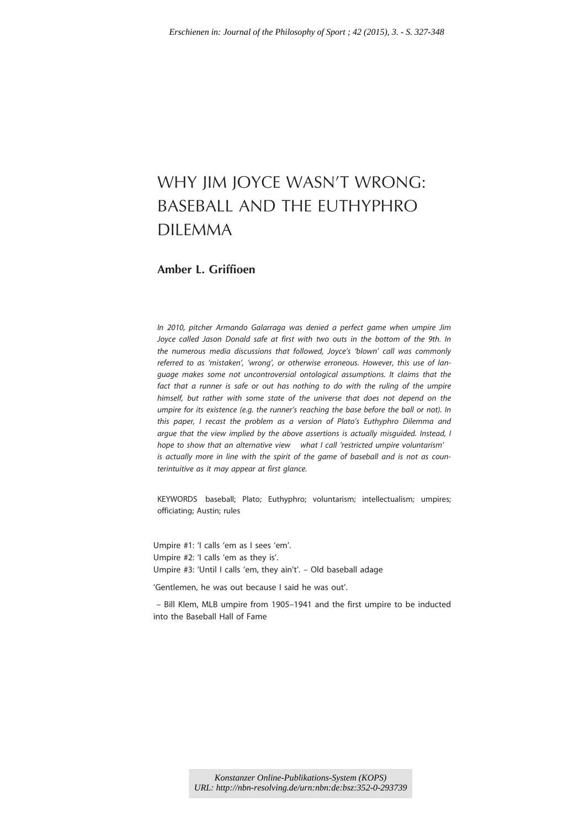# WHY IIM IOYCE WASN'T WRONG: BASEBALL AND THE EUTHYPHRO DILEMMA

# Amber L. Griffioen

In 2010, pitcher Armando Galarraga was denied a perfect game when umpire Jim Joyce called Jason Donald safe at first with two outs in the bottom of the 9th. In the numerous media discussions that followed, Joyce's 'blown' call was commonly referred to as 'mistaken', 'wrong', or otherwise erroneous. However, this use of language makes some not uncontroversial ontological assumptions. It claims that the fact that a runner is safe or out has nothing to do with the ruling of the umpire himself, but rather with some state of the universe that does not depend on the umpire for its existence (e.g. the runner's reaching the base before the ball or not). In this paper, I recast the problem as a version of Plato's Euthyphro Dilemma and argue that the view implied by the above assertions is actually misguided. Instead, I hope to show that an alternative view what I call 'restricted umpire voluntarism' is actually more in line with the spirit of the game of baseball and is not as counterintuitive as it may appear at first glance.

KEYWORDS baseball; Plato; Euthyphro; voluntarism; intellectualism; umpires; officiating; Austin; rules

Umpire #1: 'I calls 'em as I sees 'em'. Umpire #2: 'I calls 'em as they is'. Umpire #3: 'Until I calls 'em, they ain't'. – Old baseball adage

'Gentlemen, he was out because I said he was out'.

– Bill Klem, MLB umpire from 1905–1941 and the first umpire to be inducted into the Baseball Hall of Fame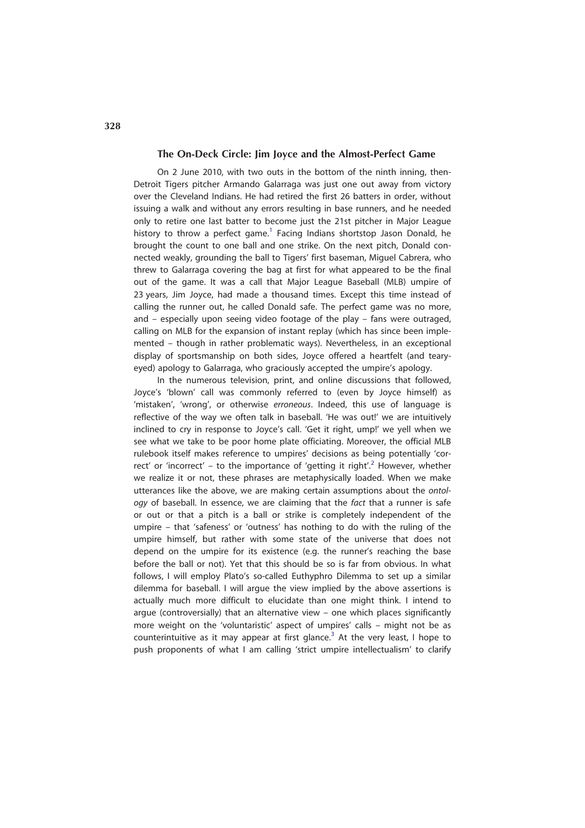#### The On-Deck Circle: Jim Joyce and the Almost-Perfect Game

On 2 June 2010, with two outs in the bottom of the ninth inning, then-Detroit Tigers pitcher Armando Galarraga was just one out away from victory over the Cleveland Indians. He had retired the first 26 batters in order, without issuing a walk and without any errors resulting in base runners, and he needed only to retire one last batter to become just the 21st pitcher in Major League history to throw a perfect game.<sup>1</sup> Facing Indians shortstop Jason Donald, he brought the count to one ball and one strike. On the next pitch, Donald connected weakly, grounding the ball to Tigers' first baseman, Miguel Cabrera, who threw to Galarraga covering the bag at first for what appeared to be the final out of the game. It was a call that Major League Baseball (MLB) umpire of 23 years, Jim Joyce, had made a thousand times. Except this time instead of calling the runner out, he called Donald safe. The perfect game was no more, and – especially upon seeing video footage of the play – fans were outraged, calling on MLB for the expansion of instant replay (which has since been implemented – though in rather problematic ways). Nevertheless, in an exceptional display of sportsmanship on both sides, Joyce offered a heartfelt (and tearyeyed) apology to Galarraga, who graciously accepted the umpire's apology.

In the numerous television, print, and online discussions that followed, Joyce's 'blown' call was commonly referred to (even by Joyce himself) as 'mistaken', 'wrong', or otherwise erroneous. Indeed, this use of language is reflective of the way we often talk in baseball. 'He was out!' we are intuitively inclined to cry in response to Joyce's call. 'Get it right, ump!' we yell when we see what we take to be poor home plate officiating. Moreover, the official MLB rulebook itself makes reference to umpires' decisions as being potentially 'correct' or 'incorrect' – to the importance of 'getting it right'.<sup>2</sup> However, whether we realize it or not, these phrases are metaphysically loaded. When we make utterances like the above, we are making certain assumptions about the ontology of baseball. In essence, we are claiming that the fact that a runner is safe or out or that a pitch is a ball or strike is completely independent of the umpire – that 'safeness' or 'outness' has nothing to do with the ruling of the umpire himself, but rather with some state of the universe that does not depend on the umpire for its existence (e.g. the runner's reaching the base before the ball or not). Yet that this should be so is far from obvious. In what follows, I will employ Plato's so-called Euthyphro Dilemma to set up a similar dilemma for baseball. I will argue the view implied by the above assertions is actually much more difficult to elucidate than one might think. I intend to argue (controversially) that an alternative view – one which places significantly more weight on the 'voluntaristic' aspect of umpires' calls – might not be as counterintuitive as it may appear at first glance.<sup>3</sup> At the very least, I hope to push proponents of what I am calling 'strict umpire intellectualism' to clarify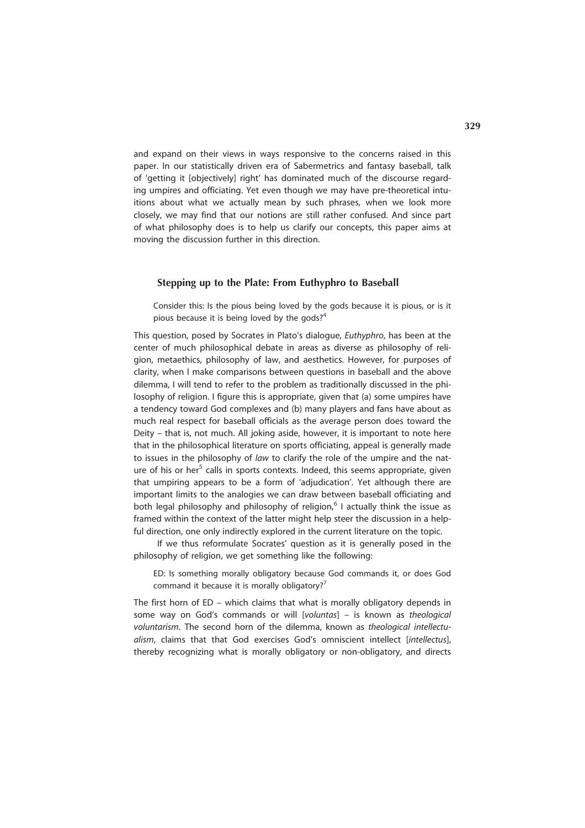and expand on their views in ways responsive to the concerns raised in this paper. In our statistically driven era of Sabermetrics and fantasy baseball, talk of 'getting it [objectively] right' has dominated much of the discourse regarding umpires and officiating. Yet even though we may have pre-theoretical intuitions about what we actually mean by such phrases, when we look more closely, we may find that our notions are still rather confused. And since part of what philosophy does is to help us clarify our concepts, this paper aims at moving the discussion further in this direction.

#### Stepping up to the Plate: From Euthyphro to Baseball

Consider this: Is the pious being loved by the gods because it is pious, or is it pious because it is being loved by the gods?<sup>4</sup>

This question, posed by Socrates in Plato's dialogue, Euthyphro, has been at the center of much philosophical debate in areas as diverse as philosophy of religion, metaethics, philosophy of law, and aesthetics. However, for purposes of clarity, when I make comparisons between questions in baseball and the above dilemma, I will tend to refer to the problem as traditionally discussed in the philosophy of religion. I figure this is appropriate, given that (a) some umpires have a tendency toward God complexes and (b) many players and fans have about as much real respect for baseball officials as the average person does toward the Deity – that is, not much. All joking aside, however, it is important to note here that in the philosophical literature on sports officiating, appeal is generally made to issues in the philosophy of law to clarify the role of the umpire and the nature of his or her<sup>5</sup> calls in sports contexts. Indeed, this seems appropriate, given that umpiring appears to be a form of 'adjudication'. Yet although there are important limits to the analogies we can draw between baseball officiating and both legal philosophy and philosophy of religion, $6$  I actually think the issue as framed within the context of the latter might help steer the discussion in a helpful direction, one only indirectly explored in the current literature on the topic.

If we thus reformulate Socrates' question as it is generally posed in the philosophy of religion, we get something like the following:

ED: Is something morally obligatory because God commands it, or does God command it because it is morally obligatory?<sup>7</sup>

The first horn of ED – which claims that what is morally obligatory depends in some way on God's commands or will [voluntas] – is known as theological voluntarism. The second horn of the dilemma, known as theological intellectualism, claims that that God exercises God's omniscient intellect [intellectus], thereby recognizing what is morally obligatory or non-obligatory, and directs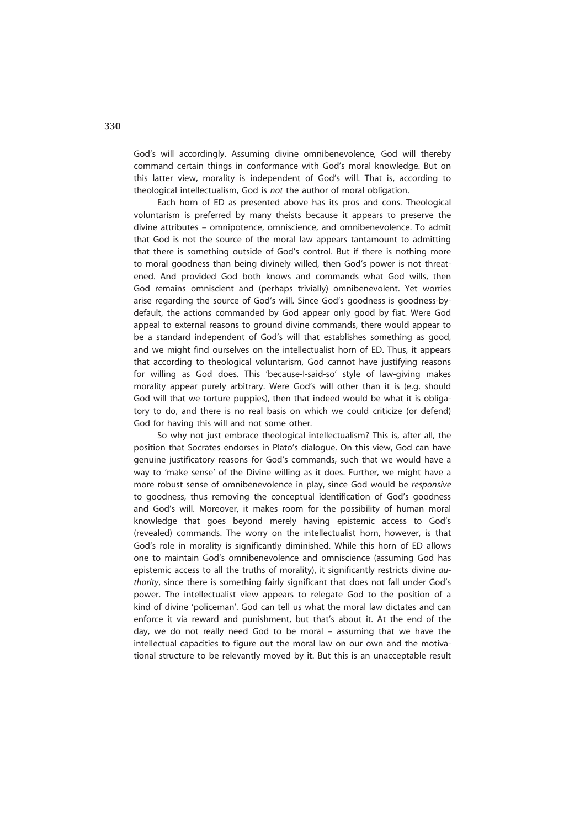God's will accordingly. Assuming divine omnibenevolence, God will thereby command certain things in conformance with God's moral knowledge. But on this latter view, morality is independent of God's will. That is, according to theological intellectualism, God is not the author of moral obligation.

Each horn of ED as presented above has its pros and cons. Theological voluntarism is preferred by many theists because it appears to preserve the divine attributes – omnipotence, omniscience, and omnibenevolence. To admit that God is not the source of the moral law appears tantamount to admitting that there is something outside of God's control. But if there is nothing more to moral goodness than being divinely willed, then God's power is not threatened. And provided God both knows and commands what God wills, then God remains omniscient and (perhaps trivially) omnibenevolent. Yet worries arise regarding the source of God's will. Since God's goodness is goodness-bydefault, the actions commanded by God appear only good by fiat. Were God appeal to external reasons to ground divine commands, there would appear to be a standard independent of God's will that establishes something as good, and we might find ourselves on the intellectualist horn of ED. Thus, it appears that according to theological voluntarism, God cannot have justifying reasons for willing as God does. This 'because-I-said-so' style of law-giving makes morality appear purely arbitrary. Were God's will other than it is (e.g. should God will that we torture puppies), then that indeed would be what it is obligatory to do, and there is no real basis on which we could criticize (or defend) God for having this will and not some other.

So why not just embrace theological intellectualism? This is, after all, the position that Socrates endorses in Plato's dialogue. On this view, God can have genuine justificatory reasons for God's commands, such that we would have a way to 'make sense' of the Divine willing as it does. Further, we might have a more robust sense of omnibenevolence in play, since God would be responsive to goodness, thus removing the conceptual identification of God's goodness and God's will. Moreover, it makes room for the possibility of human moral knowledge that goes beyond merely having epistemic access to God's (revealed) commands. The worry on the intellectualist horn, however, is that God's role in morality is significantly diminished. While this horn of ED allows one to maintain God's omnibenevolence and omniscience (assuming God has epistemic access to all the truths of morality), it significantly restricts divine authority, since there is something fairly significant that does not fall under God's power. The intellectualist view appears to relegate God to the position of a kind of divine 'policeman'. God can tell us what the moral law dictates and can enforce it via reward and punishment, but that's about it. At the end of the day, we do not really need God to be moral – assuming that we have the intellectual capacities to figure out the moral law on our own and the motivational structure to be relevantly moved by it. But this is an unacceptable result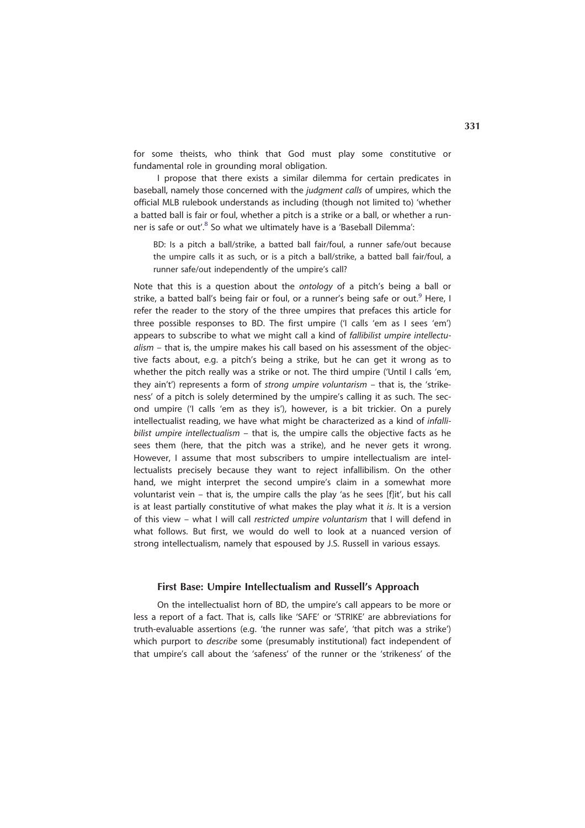for some theists, who think that God must play some constitutive or fundamental role in grounding moral obligation.

I propose that there exists a similar dilemma for certain predicates in baseball, namely those concerned with the judgment calls of umpires, which the official MLB rulebook understands as including (though not limited to) 'whether a batted ball is fair or foul, whether a pitch is a strike or a ball, or whether a runner is safe or out'.<sup>8</sup> So what we ultimately have is a 'Baseball Dilemma':

BD: Is a pitch a ball/strike, a batted ball fair/foul, a runner safe/out because the umpire calls it as such, or is a pitch a ball/strike, a batted ball fair/foul, a runner safe/out independently of the umpire's call?

Note that this is a question about the ontology of a pitch's being a ball or strike, a batted ball's being fair or foul, or a runner's being safe or out.<sup>9</sup> Here, I refer the reader to the story of the three umpires that prefaces this article for three possible responses to BD. The first umpire ('I calls 'em as I sees 'em') appears to subscribe to what we might call a kind of fallibilist umpire intellectu $alism$  – that is, the umpire makes his call based on his assessment of the objective facts about, e.g. a pitch's being a strike, but he can get it wrong as to whether the pitch really was a strike or not. The third umpire ('Until I calls 'em, they ain't') represents a form of strong umpire voluntarism – that is, the 'strikeness' of a pitch is solely determined by the umpire's calling it as such. The second umpire ('I calls 'em as they is'), however, is a bit trickier. On a purely intellectualist reading, we have what might be characterized as a kind of infallibilist umpire intellectualism – that is, the umpire calls the objective facts as he sees them (here, that the pitch was a strike), and he never gets it wrong. However, I assume that most subscribers to umpire intellectualism are intellectualists precisely because they want to reject infallibilism. On the other hand, we might interpret the second umpire's claim in a somewhat more voluntarist vein – that is, the umpire calls the play 'as he sees [f]it', but his call is at least partially constitutive of what makes the play what it is. It is a version of this view – what I will call restricted umpire voluntarism that I will defend in what follows. But first, we would do well to look at a nuanced version of strong intellectualism, namely that espoused by J.S. Russell in various essays.

#### First Base: Umpire Intellectualism and Russell's Approach

On the intellectualist horn of BD, the umpire's call appears to be more or less a report of a fact. That is, calls like 'SAFE' or 'STRIKE' are abbreviations for truth-evaluable assertions (e.g. 'the runner was safe', 'that pitch was a strike') which purport to describe some (presumably institutional) fact independent of that umpire's call about the 'safeness' of the runner or the 'strikeness' of the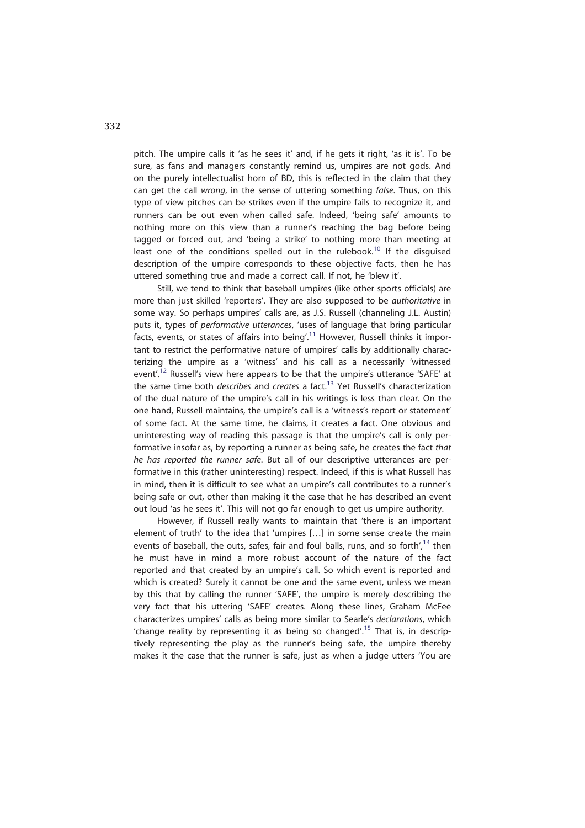pitch. The umpire calls it 'as he sees it' and, if he gets it right, 'as it is'. To be sure, as fans and managers constantly remind us, umpires are not gods. And on the purely intellectualist horn of BD, this is reflected in the claim that they can get the call wrong, in the sense of uttering something false. Thus, on this type of view pitches can be strikes even if the umpire fails to recognize it, and runners can be out even when called safe. Indeed, 'being safe' amounts to nothing more on this view than a runner's reaching the bag before being tagged or forced out, and 'being a strike' to nothing more than meeting at least one of the conditions spelled out in the rulebook.<sup>10</sup> If the disguised description of the umpire corresponds to these objective facts, then he has uttered something true and made a correct call. If not, he 'blew it'.

Still, we tend to think that baseball umpires (like other sports officials) are more than just skilled 'reporters'. They are also supposed to be authoritative in some way. So perhaps umpires' calls are, as J.S. Russell (channeling J.L. Austin) puts it, types of performative utterances, 'uses of language that bring particular facts, events, or states of affairs into being'.<sup>11</sup> However, Russell thinks it important to restrict the performative nature of umpires' calls by additionally characterizing the umpire as a 'witness' and his call as a necessarily 'witnessed event'.<sup>12</sup> Russell's view here appears to be that the umpire's utterance 'SAFE' at the same time both *describes* and *creates* a fact.<sup>13</sup> Yet Russell's characterization of the dual nature of the umpire's call in his writings is less than clear. On the one hand, Russell maintains, the umpire's call is a 'witness's report or statement' of some fact. At the same time, he claims, it creates a fact. One obvious and uninteresting way of reading this passage is that the umpire's call is only performative insofar as, by reporting a runner as being safe, he creates the fact that he has reported the runner safe. But all of our descriptive utterances are performative in this (rather uninteresting) respect. Indeed, if this is what Russell has in mind, then it is difficult to see what an umpire's call contributes to a runner's being safe or out, other than making it the case that he has described an event out loud 'as he sees it'. This will not go far enough to get us umpire authority.

However, if Russell really wants to maintain that 'there is an important element of truth' to the idea that 'umpires […] in some sense create the main events of baseball, the outs, safes, fair and foul balls, runs, and so forth', $14$  then he must have in mind a more robust account of the nature of the fact reported and that created by an umpire's call. So which event is reported and which is created? Surely it cannot be one and the same event, unless we mean by this that by calling the runner 'SAFE', the umpire is merely describing the very fact that his uttering 'SAFE' creates. Along these lines, Graham McFee characterizes umpires' calls as being more similar to Searle's declarations, which 'change reality by representing it as being so changed'.<sup>15</sup> That is, in descriptively representing the play as the runner's being safe, the umpire thereby makes it the case that the runner is safe, just as when a judge utters 'You are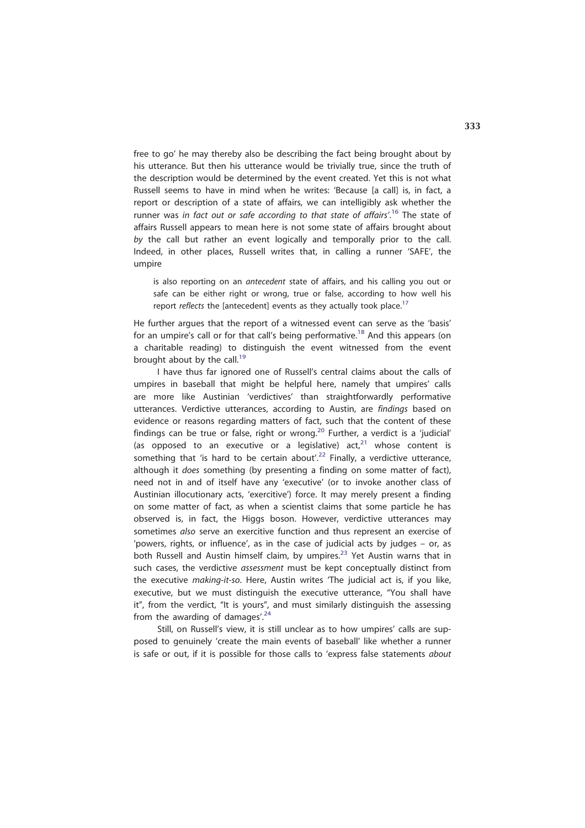free to go' he may thereby also be describing the fact being brought about by his utterance. But then his utterance would be trivially true, since the truth of the description would be determined by the event created. Yet this is not what Russell seems to have in mind when he writes: 'Because [a call] is, in fact, a report or description of a state of affairs, we can intelligibly ask whether the runner was in fact out or safe according to that state of affairs'.<sup>16</sup> The state of affairs Russell appears to mean here is not some state of affairs brought about by the call but rather an event logically and temporally prior to the call. Indeed, in other places, Russell writes that, in calling a runner 'SAFE', the umpire

is also reporting on an antecedent state of affairs, and his calling you out or safe can be either right or wrong, true or false, according to how well his report reflects the [antecedent] events as they actually took place.<sup>17</sup>

He further argues that the report of a witnessed event can serve as the 'basis' for an umpire's call or for that call's being performative.<sup>18</sup> And this appears (on a charitable reading) to distinguish the event witnessed from the event brought about by the call.<sup>19</sup>

I have thus far ignored one of Russell's central claims about the calls of umpires in baseball that might be helpful here, namely that umpires' calls are more like Austinian 'verdictives' than straightforwardly performative utterances. Verdictive utterances, according to Austin, are findings based on evidence or reasons regarding matters of fact, such that the content of these findings can be true or false, right or wrong.<sup>20</sup> Further, a verdict is a 'judicial' (as opposed to an executive or a legislative)  $act<sub>1</sub><sup>21</sup>$  whose content is something that 'is hard to be certain about'.<sup>22</sup> Finally, a verdictive utterance, although it does something (by presenting a finding on some matter of fact), need not in and of itself have any 'executive' (or to invoke another class of Austinian illocutionary acts, 'exercitive') force. It may merely present a finding on some matter of fact, as when a scientist claims that some particle he has observed is, in fact, the Higgs boson. However, verdictive utterances may sometimes also serve an exercitive function and thus represent an exercise of 'powers, rights, or influence', as in the case of judicial acts by judges – or, as both Russell and Austin himself claim, by umpires.<sup>23</sup> Yet Austin warns that in such cases, the verdictive assessment must be kept conceptually distinct from the executive making-it-so. Here, Austin writes 'The judicial act is, if you like, executive, but we must distinguish the executive utterance, "You shall have it", from the verdict, "It is yours", and must similarly distinguish the assessing from the awarding of damages'. $24$ 

Still, on Russell's view, it is still unclear as to how umpires' calls are supposed to genuinely 'create the main events of baseball' like whether a runner is safe or out, if it is possible for those calls to 'express false statements about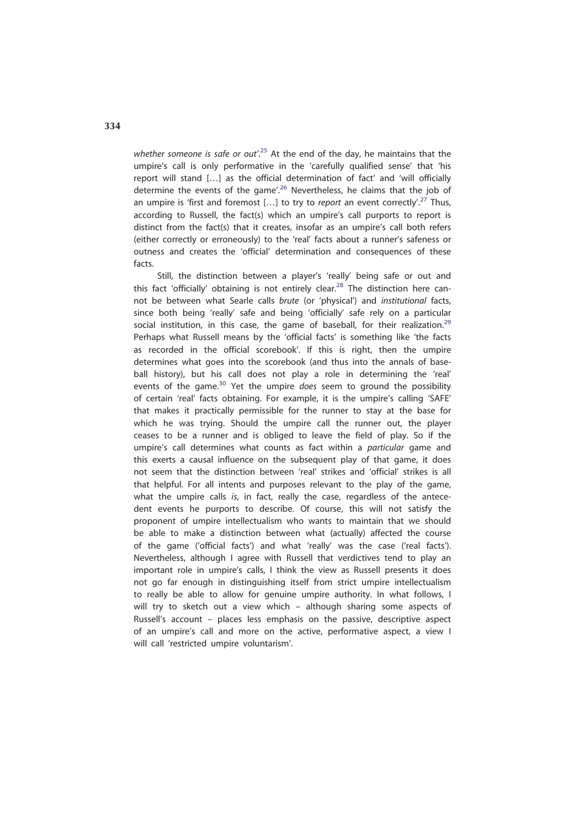whether someone is safe or out<sup>'.25</sup> At the end of the day, he maintains that the umpire's call is only performative in the 'carefully qualified sense' that 'his report will stand […] as the official determination of fact' and 'will officially determine the events of the game'.<sup>26</sup> Nevertheless, he claims that the job of an umpire is 'first and foremost [...] to try to report an event correctly'.<sup>27</sup> Thus, according to Russell, the fact(s) which an umpire's call purports to report is distinct from the fact(s) that it creates, insofar as an umpire's call both refers (either correctly or erroneously) to the 'real' facts about a runner's safeness or outness and creates the 'official' determination and consequences of these facts.

Still, the distinction between a player's 'really' being safe or out and this fact 'officially' obtaining is not entirely clear.<sup>28</sup> The distinction here cannot be between what Searle calls brute (or 'physical') and institutional facts, since both being 'really' safe and being 'officially' safe rely on a particular social institution, in this case, the game of baseball, for their realization.<sup>29</sup> Perhaps what Russell means by the 'official facts' is something like 'the facts as recorded in the official scorebook'. If this is right, then the umpire determines what goes into the scorebook (and thus into the annals of baseball history), but his call does not play a role in determining the 'real' events of the game.<sup>30</sup> Yet the umpire *does* seem to ground the possibility of certain 'real' facts obtaining. For example, it is the umpire's calling 'SAFE' that makes it practically permissible for the runner to stay at the base for which he was trying. Should the umpire call the runner out, the player ceases to be a runner and is obliged to leave the field of play. So if the umpire's call determines what counts as fact within a *particular* game and this exerts a causal influence on the subsequent play of that game, it does not seem that the distinction between 'real' strikes and 'official' strikes is all that helpful. For all intents and purposes relevant to the play of the game, what the umpire calls is, in fact, really the case, regardless of the antecedent events he purports to describe. Of course, this will not satisfy the proponent of umpire intellectualism who wants to maintain that we should be able to make a distinction between what (actually) affected the course of the game ('official facts') and what 'really' was the case ('real facts'). Nevertheless, although I agree with Russell that verdictives tend to play an important role in umpire's calls, I think the view as Russell presents it does not go far enough in distinguishing itself from strict umpire intellectualism to really be able to allow for genuine umpire authority. In what follows, I will try to sketch out a view which – although sharing some aspects of Russell's account – places less emphasis on the passive, descriptive aspect of an umpire's call and more on the active, performative aspect, a view I will call 'restricted umpire voluntarism'.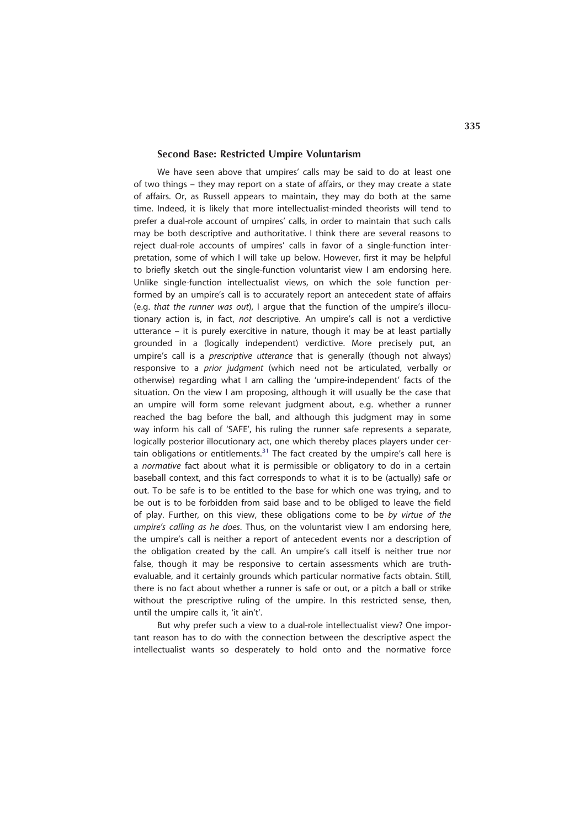#### Second Base: Restricted Umpire Voluntarism

We have seen above that umpires' calls may be said to do at least one of two things – they may report on a state of affairs, or they may create a state of affairs. Or, as Russell appears to maintain, they may do both at the same time. Indeed, it is likely that more intellectualist-minded theorists will tend to prefer a dual-role account of umpires' calls, in order to maintain that such calls may be both descriptive and authoritative. I think there are several reasons to reject dual-role accounts of umpires' calls in favor of a single-function interpretation, some of which I will take up below. However, first it may be helpful to briefly sketch out the single-function voluntarist view I am endorsing here. Unlike single-function intellectualist views, on which the sole function performed by an umpire's call is to accurately report an antecedent state of affairs (e.g. that the runner was out), I argue that the function of the umpire's illocutionary action is, in fact, not descriptive. An umpire's call is not a verdictive utterance – it is purely exercitive in nature, though it may be at least partially grounded in a (logically independent) verdictive. More precisely put, an umpire's call is a *prescriptive utterance* that is generally (though not always) responsive to a prior judgment (which need not be articulated, verbally or otherwise) regarding what I am calling the 'umpire-independent' facts of the situation. On the view I am proposing, although it will usually be the case that an umpire will form some relevant judgment about, e.g. whether a runner reached the bag before the ball, and although this judgment may in some way inform his call of 'SAFE', his ruling the runner safe represents a separate, logically posterior illocutionary act, one which thereby places players under certain obligations or entitlements. $31$  The fact created by the umpire's call here is a normative fact about what it is permissible or obligatory to do in a certain baseball context, and this fact corresponds to what it is to be (actually) safe or out. To be safe is to be entitled to the base for which one was trying, and to be out is to be forbidden from said base and to be obliged to leave the field of play. Further, on this view, these obligations come to be by virtue of the umpire's calling as he does. Thus, on the voluntarist view I am endorsing here, the umpire's call is neither a report of antecedent events nor a description of the obligation created by the call. An umpire's call itself is neither true nor false, though it may be responsive to certain assessments which are truthevaluable, and it certainly grounds which particular normative facts obtain. Still, there is no fact about whether a runner is safe or out, or a pitch a ball or strike without the prescriptive ruling of the umpire. In this restricted sense, then, until the umpire calls it, 'it ain't'.

But why prefer such a view to a dual-role intellectualist view? One important reason has to do with the connection between the descriptive aspect the intellectualist wants so desperately to hold onto and the normative force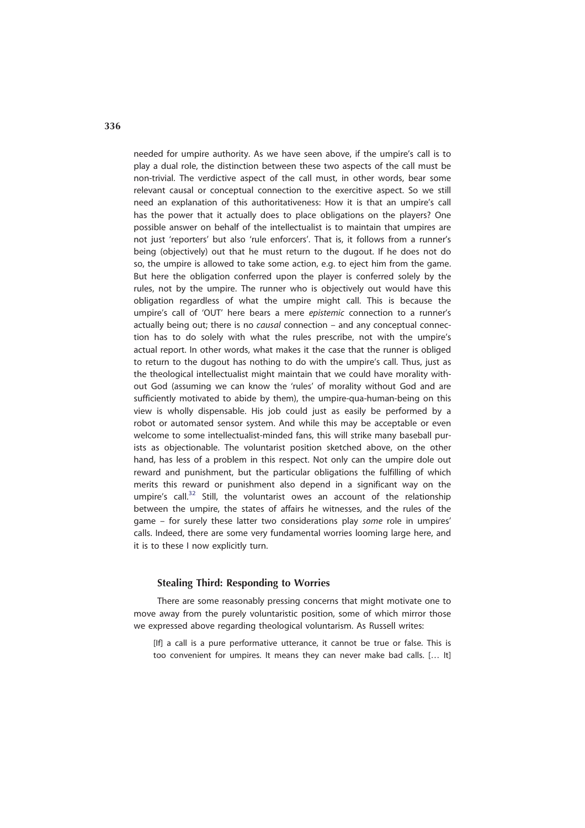needed for umpire authority. As we have seen above, if the umpire's call is to play a dual role, the distinction between these two aspects of the call must be non-trivial. The verdictive aspect of the call must, in other words, bear some relevant causal or conceptual connection to the exercitive aspect. So we still need an explanation of this authoritativeness: How it is that an umpire's call has the power that it actually does to place obligations on the players? One possible answer on behalf of the intellectualist is to maintain that umpires are not just 'reporters' but also 'rule enforcers'. That is, it follows from a runner's being (objectively) out that he must return to the dugout. If he does not do so, the umpire is allowed to take some action, e.g. to eject him from the game. But here the obligation conferred upon the player is conferred solely by the rules, not by the umpire. The runner who is objectively out would have this obligation regardless of what the umpire might call. This is because the umpire's call of 'OUT' here bears a mere epistemic connection to a runner's actually being out; there is no *causal* connection – and any conceptual connection has to do solely with what the rules prescribe, not with the umpire's actual report. In other words, what makes it the case that the runner is obliged to return to the dugout has nothing to do with the umpire's call. Thus, just as the theological intellectualist might maintain that we could have morality without God (assuming we can know the 'rules' of morality without God and are sufficiently motivated to abide by them), the umpire-qua-human-being on this view is wholly dispensable. His job could just as easily be performed by a robot or automated sensor system. And while this may be acceptable or even welcome to some intellectualist-minded fans, this will strike many baseball purists as objectionable. The voluntarist position sketched above, on the other hand, has less of a problem in this respect. Not only can the umpire dole out reward and punishment, but the particular obligations the fulfilling of which merits this reward or punishment also depend in a significant way on the umpire's call.<sup>32</sup> Still, the voluntarist owes an account of the relationship between the umpire, the states of affairs he witnesses, and the rules of the game – for surely these latter two considerations play some role in umpires' calls. Indeed, there are some very fundamental worries looming large here, and it is to these I now explicitly turn.

#### Stealing Third: Responding to Worries

There are some reasonably pressing concerns that might motivate one to move away from the purely voluntaristic position, some of which mirror those we expressed above regarding theological voluntarism. As Russell writes:

[If] a call is a pure performative utterance, it cannot be true or false. This is too convenient for umpires. It means they can never make bad calls. [… It]

336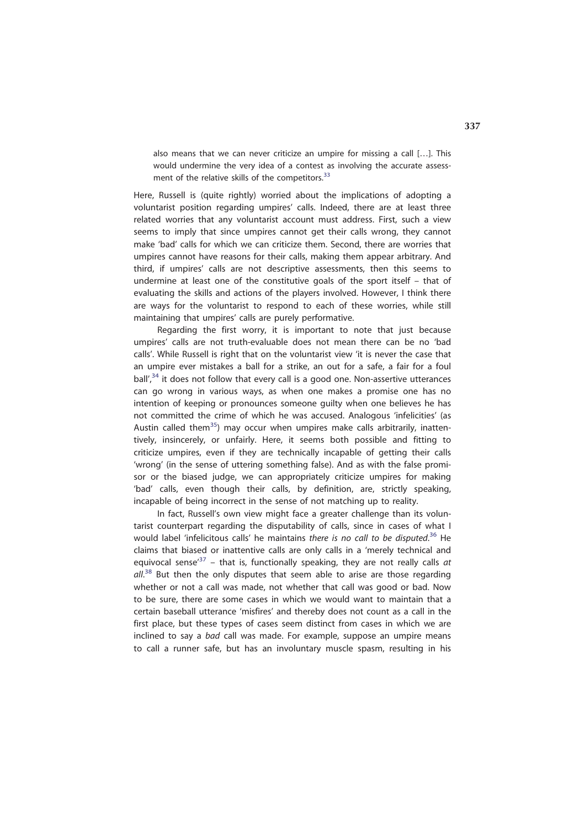also means that we can never criticize an umpire for missing a call […]. This would undermine the very idea of a contest as involving the accurate assessment of the relative skills of the competitors.<sup>33</sup>

Here, Russell is (quite rightly) worried about the implications of adopting a voluntarist position regarding umpires' calls. Indeed, there are at least three related worries that any voluntarist account must address. First, such a view seems to imply that since umpires cannot get their calls wrong, they cannot make 'bad' calls for which we can criticize them. Second, there are worries that umpires cannot have reasons for their calls, making them appear arbitrary. And third, if umpires' calls are not descriptive assessments, then this seems to undermine at least one of the constitutive goals of the sport itself – that of evaluating the skills and actions of the players involved. However, I think there are ways for the voluntarist to respond to each of these worries, while still maintaining that umpires' calls are purely performative.

Regarding the first worry, it is important to note that just because umpires' calls are not truth-evaluable does not mean there can be no 'bad calls'. While Russell is right that on the voluntarist view 'it is never the case that an umpire ever mistakes a ball for a strike, an out for a safe, a fair for a foul  $ball<sup>34</sup>$  it does not follow that every call is a good one. Non-assertive utterances can go wrong in various ways, as when one makes a promise one has no intention of keeping or pronounces someone guilty when one believes he has not committed the crime of which he was accused. Analogous 'infelicities' (as Austin called them<sup>35</sup>) may occur when umpires make calls arbitrarily, inattentively, insincerely, or unfairly. Here, it seems both possible and fitting to criticize umpires, even if they are technically incapable of getting their calls 'wrong' (in the sense of uttering something false). And as with the false promisor or the biased judge, we can appropriately criticize umpires for making 'bad' calls, even though their calls, by definition, are, strictly speaking, incapable of being incorrect in the sense of not matching up to reality.

In fact, Russell's own view might face a greater challenge than its voluntarist counterpart regarding the disputability of calls, since in cases of what I would label 'infelicitous calls' he maintains there is no call to be disputed.<sup>36</sup> He claims that biased or inattentive calls are only calls in a 'merely technical and equivocal sense<sup>37</sup> – that is, functionally speaking, they are not really calls at  $all.^{38}$  But then the only disputes that seem able to arise are those regarding whether or not a call was made, not whether that call was good or bad. Now to be sure, there are some cases in which we would want to maintain that a certain baseball utterance 'misfires' and thereby does not count as a call in the first place, but these types of cases seem distinct from cases in which we are inclined to say a bad call was made. For example, suppose an umpire means to call a runner safe, but has an involuntary muscle spasm, resulting in his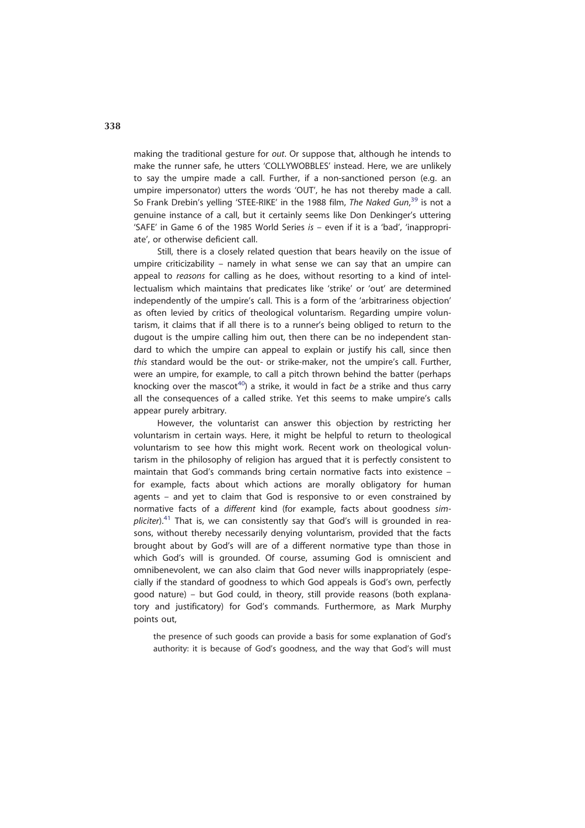making the traditional gesture for out. Or suppose that, although he intends to make the runner safe, he utters 'COLLYWOBBLES' instead. Here, we are unlikely to say the umpire made a call. Further, if a non-sanctioned person (e.g. an umpire impersonator) utters the words 'OUT', he has not thereby made a call. So Frank Drebin's yelling 'STEE-RIKE' in the 1988 film, The Naked Gun,<sup>39</sup> is not a genuine instance of a call, but it certainly seems like Don Denkinger's uttering 'SAFE' in Game 6 of the 1985 World Series is – even if it is a 'bad', 'inappropriate', or otherwise deficient call.

Still, there is a closely related question that bears heavily on the issue of umpire criticizability – namely in what sense we can say that an umpire can appeal to reasons for calling as he does, without resorting to a kind of intellectualism which maintains that predicates like 'strike' or 'out' are determined independently of the umpire's call. This is a form of the 'arbitrariness objection' as often levied by critics of theological voluntarism. Regarding umpire voluntarism, it claims that if all there is to a runner's being obliged to return to the dugout is the umpire calling him out, then there can be no independent standard to which the umpire can appeal to explain or justify his call, since then this standard would be the out- or strike-maker, not the umpire's call. Further, were an umpire, for example, to call a pitch thrown behind the batter (perhaps knocking over the mascot<sup>40</sup>) a strike, it would in fact be a strike and thus carry all the consequences of a called strike. Yet this seems to make umpire's calls appear purely arbitrary.

However, the voluntarist can answer this objection by restricting her voluntarism in certain ways. Here, it might be helpful to return to theological voluntarism to see how this might work. Recent work on theological voluntarism in the philosophy of religion has argued that it is perfectly consistent to maintain that God's commands bring certain normative facts into existence – for example, facts about which actions are morally obligatory for human agents – and yet to claim that God is responsive to or even constrained by normative facts of a different kind (for example, facts about goodness simpliciter). $41$  That is, we can consistently say that God's will is grounded in reasons, without thereby necessarily denying voluntarism, provided that the facts brought about by God's will are of a different normative type than those in which God's will is grounded. Of course, assuming God is omniscient and omnibenevolent, we can also claim that God never wills inappropriately (especially if the standard of goodness to which God appeals is God's own, perfectly good nature) – but God could, in theory, still provide reasons (both explanatory and justificatory) for God's commands. Furthermore, as Mark Murphy points out,

the presence of such goods can provide a basis for some explanation of God's authority: it is because of God's goodness, and the way that God's will must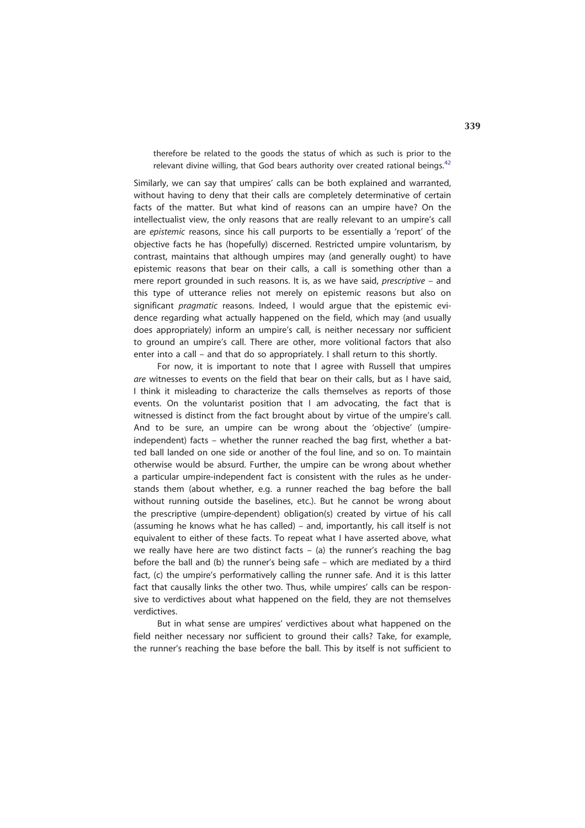therefore be related to the goods the status of which as such is prior to the relevant divine willing, that God bears authority over created rational beings. $42$ 

Similarly, we can say that umpires' calls can be both explained and warranted, without having to deny that their calls are completely determinative of certain facts of the matter. But what kind of reasons can an umpire have? On the intellectualist view, the only reasons that are really relevant to an umpire's call are epistemic reasons, since his call purports to be essentially a 'report' of the objective facts he has (hopefully) discerned. Restricted umpire voluntarism, by contrast, maintains that although umpires may (and generally ought) to have epistemic reasons that bear on their calls, a call is something other than a mere report grounded in such reasons. It is, as we have said, prescriptive – and this type of utterance relies not merely on epistemic reasons but also on significant pragmatic reasons. Indeed, I would argue that the epistemic evidence regarding what actually happened on the field, which may (and usually does appropriately) inform an umpire's call, is neither necessary nor sufficient to ground an umpire's call. There are other, more volitional factors that also enter into a call – and that do so appropriately. I shall return to this shortly.

For now, it is important to note that I agree with Russell that umpires are witnesses to events on the field that bear on their calls, but as I have said, I think it misleading to characterize the calls themselves as reports of those events. On the voluntarist position that I am advocating, the fact that is witnessed is distinct from the fact brought about by virtue of the umpire's call. And to be sure, an umpire can be wrong about the 'objective' (umpireindependent) facts – whether the runner reached the bag first, whether a batted ball landed on one side or another of the foul line, and so on. To maintain otherwise would be absurd. Further, the umpire can be wrong about whether a particular umpire-independent fact is consistent with the rules as he understands them (about whether, e.g. a runner reached the bag before the ball without running outside the baselines, etc.). But he cannot be wrong about the prescriptive (umpire-dependent) obligation(s) created by virtue of his call (assuming he knows what he has called) – and, importantly, his call itself is not equivalent to either of these facts. To repeat what I have asserted above, what we really have here are two distinct facts – (a) the runner's reaching the bag before the ball and (b) the runner's being safe – which are mediated by a third fact, (c) the umpire's performatively calling the runner safe. And it is this latter fact that causally links the other two. Thus, while umpires' calls can be responsive to verdictives about what happened on the field, they are not themselves verdictives.

But in what sense are umpires' verdictives about what happened on the field neither necessary nor sufficient to ground their calls? Take, for example, the runner's reaching the base before the ball. This by itself is not sufficient to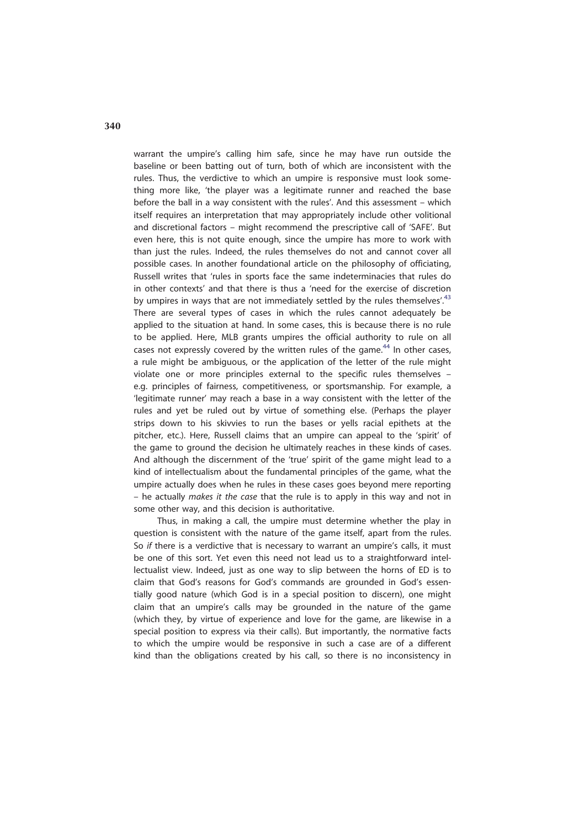warrant the umpire's calling him safe, since he may have run outside the baseline or been batting out of turn, both of which are inconsistent with the rules. Thus, the verdictive to which an umpire is responsive must look something more like, 'the player was a legitimate runner and reached the base before the ball in a way consistent with the rules'. And this assessment – which itself requires an interpretation that may appropriately include other volitional and discretional factors – might recommend the prescriptive call of 'SAFE'. But even here, this is not quite enough, since the umpire has more to work with than just the rules. Indeed, the rules themselves do not and cannot cover all possible cases. In another foundational article on the philosophy of officiating, Russell writes that 'rules in sports face the same indeterminacies that rules do in other contexts' and that there is thus a 'need for the exercise of discretion by umpires in ways that are not immediately settled by the rules themselves'.<sup>43</sup> There are several types of cases in which the rules cannot adequately be applied to the situation at hand. In some cases, this is because there is no rule to be applied. Here, MLB grants umpires the official authority to rule on all cases not expressly covered by the written rules of the game.<sup>44</sup> In other cases, a rule might be ambiguous, or the application of the letter of the rule might violate one or more principles external to the specific rules themselves – e.g. principles of fairness, competitiveness, or sportsmanship. For example, a 'legitimate runner' may reach a base in a way consistent with the letter of the rules and yet be ruled out by virtue of something else. (Perhaps the player strips down to his skivvies to run the bases or yells racial epithets at the pitcher, etc.). Here, Russell claims that an umpire can appeal to the 'spirit' of the game to ground the decision he ultimately reaches in these kinds of cases. And although the discernment of the 'true' spirit of the game might lead to a kind of intellectualism about the fundamental principles of the game, what the umpire actually does when he rules in these cases goes beyond mere reporting – he actually *makes it the case that the rule is to apply in this way and not in* some other way, and this decision is authoritative.

Thus, in making a call, the umpire must determine whether the play in question is consistent with the nature of the game itself, apart from the rules. So *if* there is a verdictive that is necessary to warrant an umpire's calls, it must be one of this sort. Yet even this need not lead us to a straightforward intellectualist view. Indeed, just as one way to slip between the horns of ED is to claim that God's reasons for God's commands are grounded in God's essentially good nature (which God is in a special position to discern), one might claim that an umpire's calls may be grounded in the nature of the game (which they, by virtue of experience and love for the game, are likewise in a special position to express via their calls). But importantly, the normative facts to which the umpire would be responsive in such a case are of a different kind than the obligations created by his call, so there is no inconsistency in

340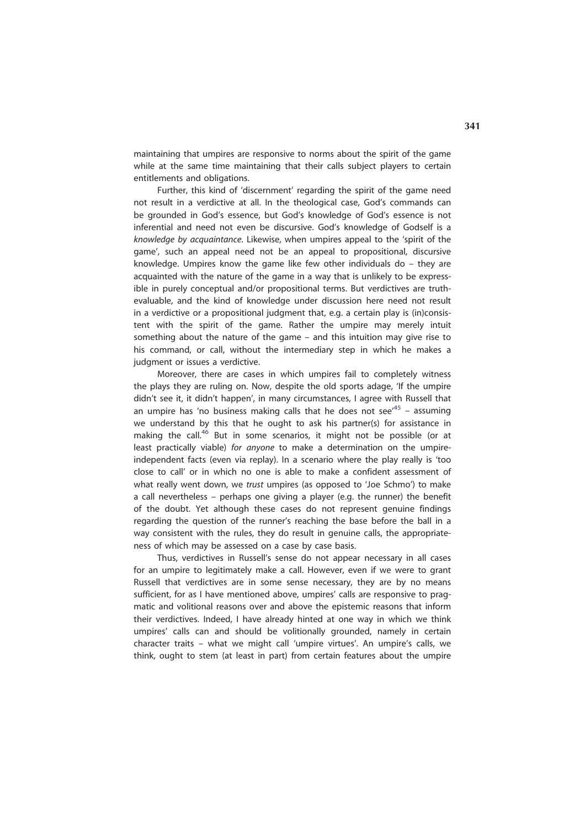maintaining that umpires are responsive to norms about the spirit of the game while at the same time maintaining that their calls subiect players to certain entitlements and obligations.

Further, this kind of 'discernment' regarding the spirit of the game need not result in a verdictive at all. In the theological case, God's commands can be grounded in God's essence, but God's knowledge of God's essence is not inferential and need not even be discursive. God's knowledge of Godself is a knowledge by acquaintance. Likewise, when umpires appeal to the 'spirit of the game', such an appeal need not be an appeal to propositional, discursive knowledge. Umpires know the game like few other individuals do – they are acquainted with the nature of the game in a way that is unlikely to be expressible in purely conceptual and/or propositional terms. But verdictives are truthevaluable, and the kind of knowledge under discussion here need not result in a verdictive or a propositional judgment that, e.g. a certain play is (in)consistent with the spirit of the game. Rather the umpire may merely intuit something about the nature of the game – and this intuition may give rise to his command, or call, without the intermediary step in which he makes a judgment or issues a verdictive.

Moreover, there are cases in which umpires fail to completely witness the plays they are ruling on. Now, despite the old sports adage, 'If the umpire didn't see it, it didn't happen', in many circumstances, I agree with Russell that an umpire has 'no business making calls that he does not see $45 -$  assuming we understand by this that he ought to ask his partner(s) for assistance in making the call.<sup>46</sup> But in some scenarios, it might not be possible (or at least practically viable) for anyone to make a determination on the umpireindependent facts (even via replay). In a scenario where the play really is 'too close to call' or in which no one is able to make a confident assessment of what really went down, we trust umpires (as opposed to 'Joe Schmo') to make a call nevertheless – perhaps one giving a player (e.g. the runner) the benefit of the doubt. Yet although these cases do not represent genuine findings regarding the question of the runner's reaching the base before the ball in a way consistent with the rules, they do result in genuine calls, the appropriateness of which may be assessed on a case by case basis.

Thus, verdictives in Russell's sense do not appear necessary in all cases for an umpire to legitimately make a call. However, even if we were to grant Russell that verdictives are in some sense necessary, they are by no means sufficient, for as I have mentioned above, umpires' calls are responsive to pragmatic and volitional reasons over and above the epistemic reasons that inform their verdictives. Indeed, I have already hinted at one way in which we think umpires' calls can and should be volitionally grounded, namely in certain character traits – what we might call 'umpire virtues'. An umpire's calls, we think, ought to stem (at least in part) from certain features about the umpire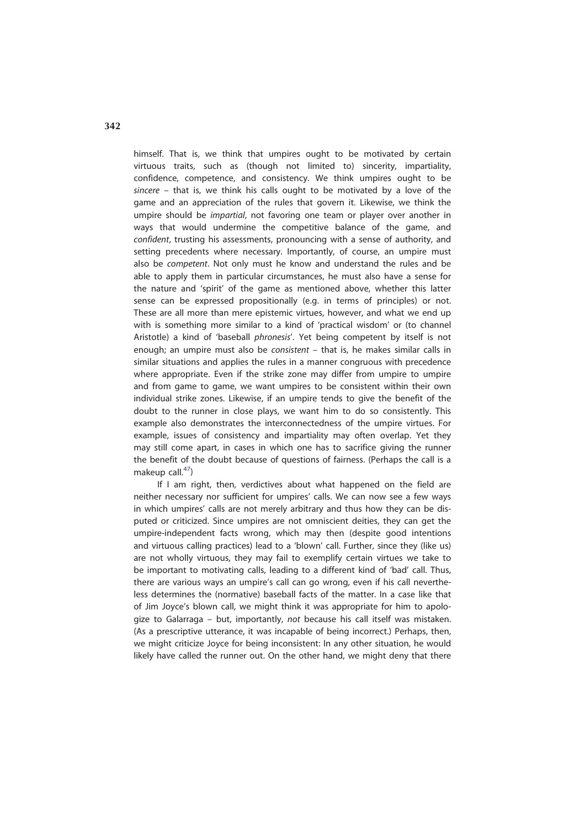himself. That is, we think that umpires ought to be motivated by certain virtuous traits, such as (though not limited to) sincerity, impartiality, confidence, competence, and consistency. We think umpires ought to be sincere – that is, we think his calls ought to be motivated by a love of the game and an appreciation of the rules that govern it. Likewise, we think the umpire should be impartial, not favoring one team or player over another in ways that would undermine the competitive balance of the game, and confident, trusting his assessments, pronouncing with a sense of authority, and setting precedents where necessary. Importantly, of course, an umpire must also be competent. Not only must he know and understand the rules and be able to apply them in particular circumstances, he must also have a sense for the nature and 'spirit' of the game as mentioned above, whether this latter sense can be expressed propositionally (e.g. in terms of principles) or not. These are all more than mere epistemic virtues, however, and what we end up with is something more similar to a kind of 'practical wisdom' or (to channel Aristotle) a kind of 'baseball phronesis'. Yet being competent by itself is not enough; an umpire must also be consistent – that is, he makes similar calls in similar situations and applies the rules in a manner congruous with precedence where appropriate. Even if the strike zone may differ from umpire to umpire and from game to game, we want umpires to be consistent within their own individual strike zones. Likewise, if an umpire tends to give the benefit of the doubt to the runner in close plays, we want him to do so consistently. This example also demonstrates the interconnectedness of the umpire virtues. For example, issues of consistency and impartiality may often overlap. Yet they may still come apart, in cases in which one has to sacrifice giving the runner the benefit of the doubt because of questions of fairness. (Perhaps the call is a makeup call. $47$ )

If I am right, then, verdictives about what happened on the field are neither necessary nor sufficient for umpires' calls. We can now see a few ways in which umpires' calls are not merely arbitrary and thus how they can be disputed or criticized. Since umpires are not omniscient deities, they can get the umpire-independent facts wrong, which may then (despite good intentions and virtuous calling practices) lead to a 'blown' call. Further, since they (like us) are not wholly virtuous, they may fail to exemplify certain virtues we take to be important to motivating calls, leading to a different kind of 'bad' call. Thus, there are various ways an umpire's call can go wrong, even if his call nevertheless determines the (normative) baseball facts of the matter. In a case like that of Jim Joyce's blown call, we might think it was appropriate for him to apologize to Galarraga – but, importantly, not because his call itself was mistaken. (As a prescriptive utterance, it was incapable of being incorrect.) Perhaps, then, we might criticize Joyce for being inconsistent: In any other situation, he would likely have called the runner out. On the other hand, we might deny that there

342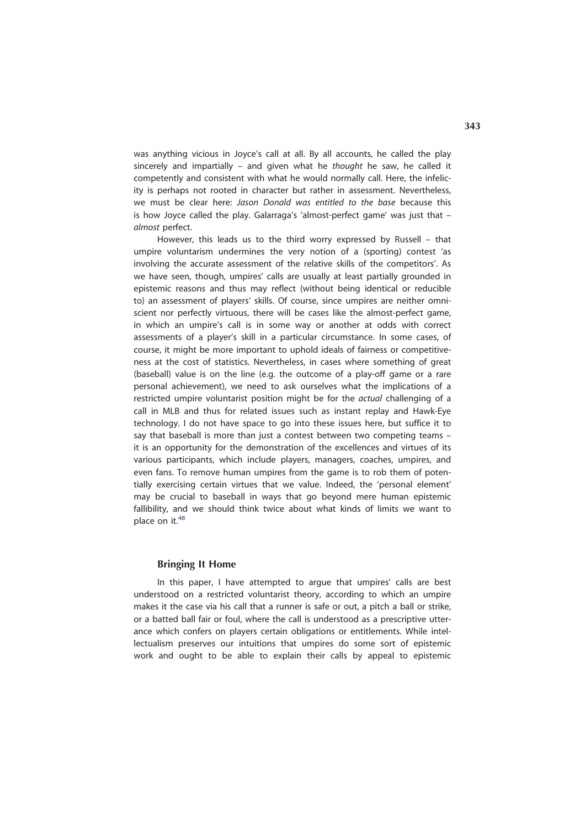was anything vicious in Joyce's call at all. By all accounts, he called the play sincerely and impartially – and given what he thought he saw, he called it competently and consistent with what he would normally call. Here, the infelicity is perhaps not rooted in character but rather in assessment. Nevertheless, we must be clear here: Jason Donald was entitled to the base because this is how Joyce called the play. Galarraga's 'almost-perfect game' was just that – almost perfect.

However, this leads us to the third worry expressed by Russell – that umpire voluntarism undermines the very notion of a (sporting) contest 'as involving the accurate assessment of the relative skills of the competitors'. As we have seen, though, umpires' calls are usually at least partially grounded in epistemic reasons and thus may reflect (without being identical or reducible to) an assessment of players' skills. Of course, since umpires are neither omniscient nor perfectly virtuous, there will be cases like the almost-perfect game, in which an umpire's call is in some way or another at odds with correct assessments of a player's skill in a particular circumstance. In some cases, of course, it might be more important to uphold ideals of fairness or competitiveness at the cost of statistics. Nevertheless, in cases where something of great (baseball) value is on the line (e.g. the outcome of a play-off game or a rare personal achievement), we need to ask ourselves what the implications of a restricted umpire voluntarist position might be for the actual challenging of a call in MLB and thus for related issues such as instant replay and Hawk-Eye technology. I do not have space to go into these issues here, but suffice it to say that baseball is more than just a contest between two competing teams it is an opportunity for the demonstration of the excellences and virtues of its various participants, which include players, managers, coaches, umpires, and even fans. To remove human umpires from the game is to rob them of potentially exercising certain virtues that we value. Indeed, the 'personal element' may be crucial to baseball in ways that go beyond mere human epistemic fallibility, and we should think twice about what kinds of limits we want to place on it.<sup>48</sup>

## Bringing It Home

In this paper, I have attempted to argue that umpires' calls are best understood on a restricted voluntarist theory, according to which an umpire makes it the case via his call that a runner is safe or out, a pitch a ball or strike, or a batted ball fair or foul, where the call is understood as a prescriptive utterance which confers on players certain obligations or entitlements. While intellectualism preserves our intuitions that umpires do some sort of epistemic work and ought to be able to explain their calls by appeal to epistemic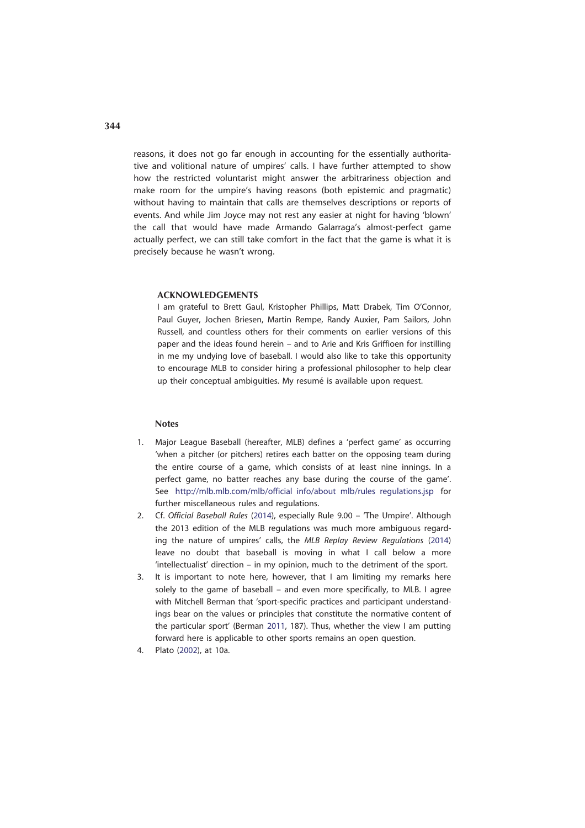reasons, it does not go far enough in accounting for the essentially authoritative and volitional nature of umpires' calls. I have further attempted to show how the restricted voluntarist might answer the arbitrariness objection and make room for the umpire's having reasons (both epistemic and pragmatic) without having to maintain that calls are themselves descriptions or reports of events. And while Jim Joyce may not rest any easier at night for having 'blown' the call that would have made Armando Galarraga's almost-perfect game actually perfect, we can still take comfort in the fact that the game is what it is precisely because he wasn't wrong.

#### ACKNOWLEDGEMENTS

I am grateful to Brett Gaul, Kristopher Phillips, Matt Drabek, Tim O'Connor, Paul Guyer, Jochen Briesen, Martin Rempe, Randy Auxier, Pam Sailors, John Russell, and countless others for their comments on earlier versions of this paper and the ideas found herein – and to Arie and Kris Griffioen for instilling in me my undying love of baseball. I would also like to take this opportunity to encourage MLB to consider hiring a professional philosopher to help clear up their conceptual ambiguities. My resumé is available upon request.

#### **Notes**

- 1. Major League Baseball (hereafter, MLB) defines a 'perfect game' as occurring 'when a pitcher (or pitchers) retires each batter on the opposing team during the entire course of a game, which consists of at least nine innings. In a perfect game, no batter reaches any base during the course of the game'. See http://mlb.mlb.com/mlb/official info/about mlb/rules regulations.jsp for further miscellaneous rules and regulations.
- 2. Cf. Official Baseball Rules (2014), especially Rule 9.00 'The Umpire'. Although the 2013 edition of the MLB regulations was much more ambiguous regarding the nature of umpires' calls, the MLB Replay Review Regulations (2014) leave no doubt that baseball is moving in what I call below a more 'intellectualist' direction – in my opinion, much to the detriment of the sport.
- 3. It is important to note here, however, that I am limiting my remarks here solely to the game of baseball – and even more specifically, to MLB. I agree with Mitchell Berman that 'sport-specific practices and participant understandings bear on the values or principles that constitute the normative content of the particular sport' (Berman 2011, 187). Thus, whether the view I am putting forward here is applicable to other sports remains an open question.
- 4. Plato (2002), at 10a.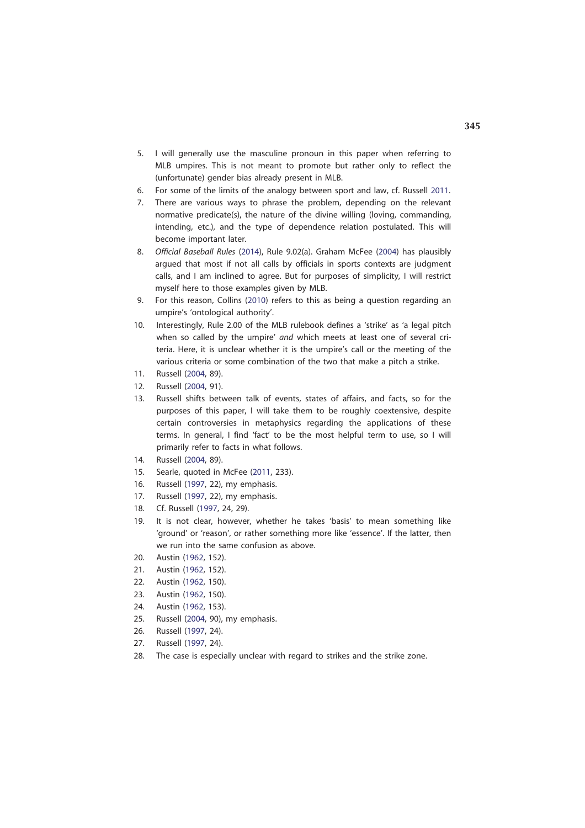- 5. I will generally use the masculine pronoun in this paper when referring to MLB umpires. This is not meant to promote but rather only to reflect the (unfortunate) gender bias already present in MLB.
- 6. For some of the limits of the analogy between sport and law, cf. Russell 2011.
- 7. There are various ways to phrase the problem, depending on the relevant normative predicate(s), the nature of the divine willing (loving, commanding, intending, etc.), and the type of dependence relation postulated. This will become important later.
- 8. Official Baseball Rules (2014), Rule 9.02(a). Graham McFee (2004) has plausibly argued that most if not all calls by officials in sports contexts are judgment calls, and I am inclined to agree. But for purposes of simplicity, I will restrict myself here to those examples given by MLB.
- 9. For this reason, Collins (2010) refers to this as being a question regarding an umpire's 'ontological authority'.
- 10. Interestingly, Rule 2.00 of the MLB rulebook defines a 'strike' as 'a legal pitch when so called by the umpire' and which meets at least one of several criteria. Here, it is unclear whether it is the umpire's call or the meeting of the various criteria or some combination of the two that make a pitch a strike.
- 11. Russell (2004, 89).
- 12. Russell (2004, 91).
- 13. Russell shifts between talk of events, states of affairs, and facts, so for the purposes of this paper, I will take them to be roughly coextensive, despite certain controversies in metaphysics regarding the applications of these terms. In general, I find 'fact' to be the most helpful term to use, so I will primarily refer to facts in what follows.
- 14. Russell (2004, 89).
- 15. Searle, quoted in McFee (2011, 233).
- 16. Russell (1997, 22), my emphasis.
- 17. Russell (1997, 22), my emphasis.
- 18. Cf. Russell (1997, 24, 29).
- 19. It is not clear, however, whether he takes 'basis' to mean something like 'ground' or 'reason', or rather something more like 'essence'. If the latter, then we run into the same confusion as above.
- 20. Austin (1962, 152).
- 21. Austin (1962, 152).
- 22. Austin (1962, 150).
- 23. Austin (1962, 150).
- 24. Austin (1962, 153).
- 25. Russell (2004, 90), my emphasis.
- 26. Russell (1997, 24).
- 27. Russell (1997, 24).
- 28. The case is especially unclear with regard to strikes and the strike zone.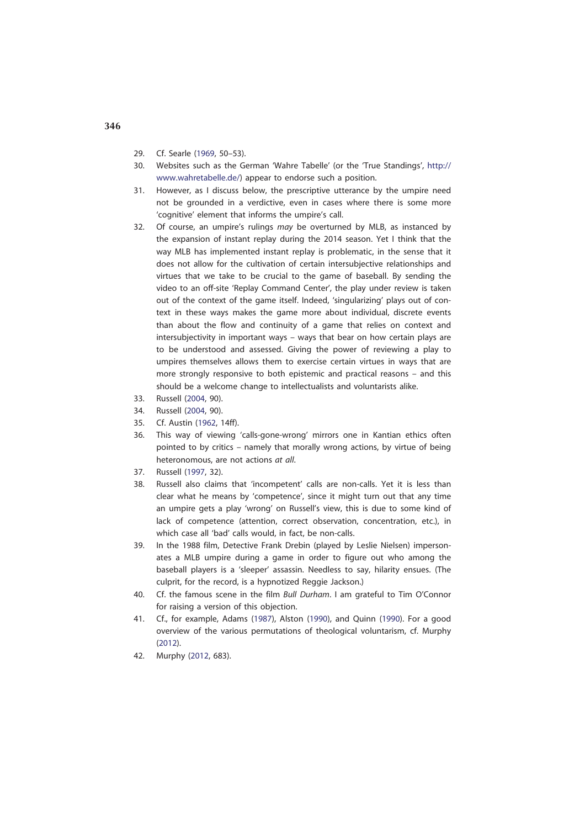- 29. Cf. Searle (1969, 50–53).
- 30. Websites such as the German 'Wahre Tabelle' (or the 'True Standings', http:// www.wahretabelle.de/) appear to endorse such a position.
- 31. However, as I discuss below, the prescriptive utterance by the umpire need not be grounded in a verdictive, even in cases where there is some more 'cognitive' element that informs the umpire's call.
- 32. Of course, an umpire's rulings may be overturned by MLB, as instanced by the expansion of instant replay during the 2014 season. Yet I think that the way MLB has implemented instant replay is problematic, in the sense that it does not allow for the cultivation of certain intersubjective relationships and virtues that we take to be crucial to the game of baseball. By sending the video to an off-site 'Replay Command Center', the play under review is taken out of the context of the game itself. Indeed, 'singularizing' plays out of context in these ways makes the game more about individual, discrete events than about the flow and continuity of a game that relies on context and intersubjectivity in important ways – ways that bear on how certain plays are to be understood and assessed. Giving the power of reviewing a play to umpires themselves allows them to exercise certain virtues in ways that are more strongly responsive to both epistemic and practical reasons – and this should be a welcome change to intellectualists and voluntarists alike.
- 33. Russell (2004, 90).
- 34. Russell (2004, 90).
- 35. Cf. Austin (1962, 14ff).
- 36. This way of viewing 'calls-gone-wrong' mirrors one in Kantian ethics often pointed to by critics – namely that morally wrong actions, by virtue of being heteronomous, are not actions at all.
- 37. Russell (1997, 32).
- 38. Russell also claims that 'incompetent' calls are non-calls. Yet it is less than clear what he means by 'competence', since it might turn out that any time an umpire gets a play 'wrong' on Russell's view, this is due to some kind of lack of competence (attention, correct observation, concentration, etc.), in which case all 'bad' calls would, in fact, be non-calls.
- 39. In the 1988 film, Detective Frank Drebin (played by Leslie Nielsen) impersonates a MLB umpire during a game in order to figure out who among the baseball players is a 'sleeper' assassin. Needless to say, hilarity ensues. (The culprit, for the record, is a hypnotized Reggie Jackson.)
- 40. Cf. the famous scene in the film Bull Durham. I am grateful to Tim O'Connor for raising a version of this objection.
- 41. Cf., for example, Adams (1987), Alston (1990), and Quinn (1990). For a good overview of the various permutations of theological voluntarism, cf. Murphy (2012).
- 42. Murphy (2012, 683).

# 346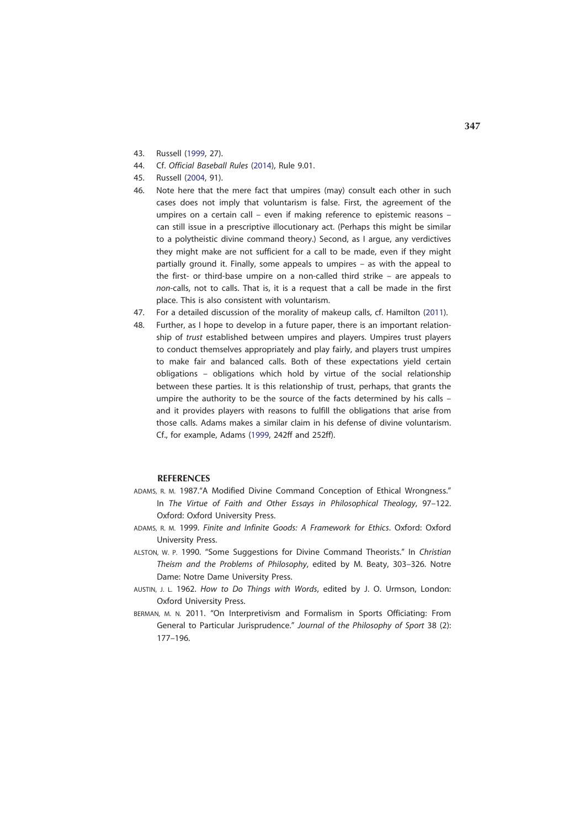- 43. Russell (1999, 27).
- 44. Cf. Official Baseball Rules (2014), Rule 9.01.
- 45. Russell (2004, 91).
- 46. Note here that the mere fact that umpires (may) consult each other in such cases does not imply that voluntarism is false. First, the agreement of the umpires on a certain call – even if making reference to epistemic reasons – can still issue in a prescriptive illocutionary act. (Perhaps this might be similar to a polytheistic divine command theory.) Second, as I argue, any verdictives they might make are not sufficient for a call to be made, even if they might partially ground it. Finally, some appeals to umpires – as with the appeal to the first- or third-base umpire on a non-called third strike – are appeals to non-calls, not to calls. That is, it is a request that a call be made in the first place. This is also consistent with voluntarism.
- 47. For a detailed discussion of the morality of makeup calls, cf. Hamilton (2011).
- 48. Further, as I hope to develop in a future paper, there is an important relationship of trust established between umpires and players. Umpires trust players to conduct themselves appropriately and play fairly, and players trust umpires to make fair and balanced calls. Both of these expectations yield certain obligations – obligations which hold by virtue of the social relationship between these parties. It is this relationship of trust, perhaps, that grants the umpire the authority to be the source of the facts determined by his calls – and it provides players with reasons to fulfill the obligations that arise from those calls. Adams makes a similar claim in his defense of divine voluntarism. Cf., for example, Adams (1999, 242ff and 252ff).

### **REFERENCES**

- ADAMS, R. M. 1987."A Modified Divine Command Conception of Ethical Wrongness." In The Virtue of Faith and Other Essays in Philosophical Theology, 97–122. Oxford: Oxford University Press.
- ADAMS, R. M. 1999. Finite and Infinite Goods: A Framework for Ethics. Oxford: Oxford University Press.
- ALSTON, W. P. 1990. "Some Suggestions for Divine Command Theorists." In Christian Theism and the Problems of Philosophy, edited by M. Beaty, 303–326. Notre Dame: Notre Dame University Press.
- AUSTIN, J. L. 1962. How to Do Things with Words, edited by J. O. Urmson, London: Oxford University Press.
- BERMAN, M. N. 2011. "On Interpretivism and Formalism in Sports Officiating: From General to Particular Jurisprudence." Journal of the Philosophy of Sport 38 (2): 177–196.